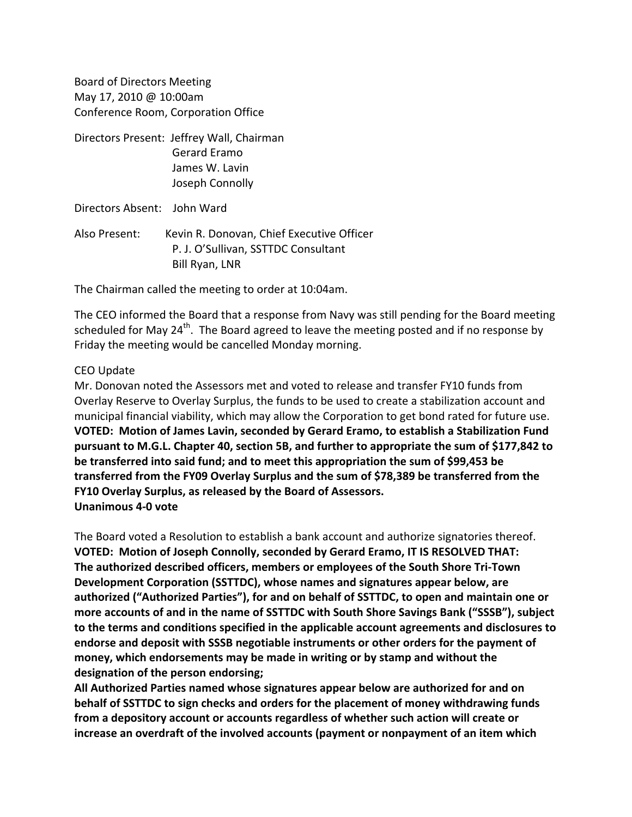Board of Directors Meeting May 17, 2010 @ 10:00am Conference Room, Corporation Office

Directors Present: Jeffrey Wall, Chairman Gerard Eramo James W. Lavin Joseph Connolly

Directors Absent: John Ward

Also Present: Kevin R. Donovan, Chief Executive Officer P. J. O'Sullivan, SSTTDC Consultant Bill Ryan, LNR

The Chairman called the meeting to order at 10:04am.

The CEO informed the Board that a response from Navy was still pending for the Board meeting scheduled for May 24<sup>th</sup>. The Board agreed to leave the meeting posted and if no response by Friday the meeting would be cancelled Monday morning.

## CEO Update

Mr. Donovan noted the Assessors met and voted to release and transfer FY10 funds from Overlay Reserve to Overlay Surplus, the funds to be used to create a stabilization account and municipal financial viability, which may allow the Corporation to get bond rated for future use. **VOTED: Motion of James Lavin, seconded by Gerard Eramo, to establish a Stabilization Fund pursuant to M.G.L. Chapter 40, section 5B, and further to appropriate the sum of \$177,842 to be transferred into said fund; and to meet this appropriation the sum of \$99,453 be transferred from the FY09 Overlay Surplus and the sum of \$78,389 be transferred from the FY10 Overlay Surplus, as released by the Board of Assessors. Unanimous 4‐0 vote**

The Board voted a Resolution to establish a bank account and authorize signatories thereof. **VOTED: Motion of Joseph Connolly, seconded by Gerard Eramo, IT IS RESOLVED THAT: The authorized described officers, members or employees of the South Shore Tri‐Town Development Corporation (SSTTDC), whose names and signatures appear below, are authorized ("Authorized Parties"), for and on behalf of SSTTDC, to open and maintain one or more accounts of and in the name of SSTTDC with South Shore Savings Bank ("SSSB"), subject to the terms and conditions specified in the applicable account agreements and disclosures to endorse and deposit with SSSB negotiable instruments or other orders for the payment of money, which endorsements may be made in writing or by stamp and without the designation of the person endorsing;**

**All Authorized Parties named whose signatures appear below are authorized for and on behalf of SSTTDC to sign checks and orders for the placement of money withdrawing funds from a depository account or accounts regardless of whether such action will create or increase an overdraft of the involved accounts (payment or nonpayment of an item which**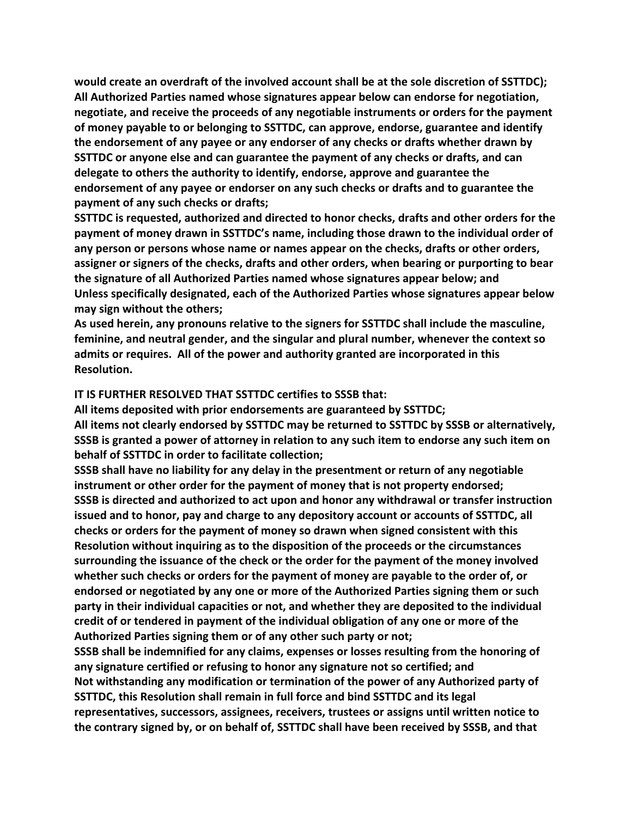**would create an overdraft of the involved account shall be at the sole discretion of SSTTDC); All Authorized Parties named whose signatures appear below can endorse for negotiation, negotiate, and receive the proceeds of any negotiable instruments or orders for the payment of money payable to or belonging to SSTTDC, can approve, endorse, guarantee and identify the endorsement of any payee or any endorser of any checks or drafts whether drawn by SSTTDC or anyone else and can guarantee the payment of any checks or drafts, and can delegate to others the authority to identify, endorse, approve and guarantee the endorsement of any payee or endorser on any such checks or drafts and to guarantee the payment of any such checks or drafts;**

**SSTTDC is requested, authorized and directed to honor checks, drafts and other orders for the payment of money drawn in SSTTDC's name, including those drawn to the individual order of any person or persons whose name or names appear on the checks, drafts or other orders, assigner or signers of the checks, drafts and other orders, when bearing or purporting to bear the signature of all Authorized Parties named whose signatures appear below; and Unless specifically designated, each of the Authorized Parties whose signatures appear below may sign without the others;**

**As used herein, any pronouns relative to the signers for SSTTDC shall include the masculine, feminine, and neutral gender, and the singular and plural number, whenever the context so admits or requires. All of the power and authority granted are incorporated in this Resolution.**

## **IT IS FURTHER RESOLVED THAT SSTTDC certifies to SSSB that:**

**All items deposited with prior endorsements are guaranteed by SSTTDC; All items not clearly endorsed by SSTTDC may be returned to SSTTDC by SSSB or alternatively,** SSSB is granted a power of attorney in relation to any such item to endorse any such item on **behalf of SSTTDC in order to facilitate collection;**

**SSSB shall have no liability for any delay in the presentment or return of any negotiable instrument or other order for the payment of money that is not property endorsed; SSSB is directed and authorized to act upon and honor any withdrawal or transfer instruction issued and to honor, pay and charge to any depository account or accounts of SSTTDC, all checks or orders for the payment of money so drawn when signed consistent with this Resolution without inquiring as to the disposition of the proceeds or the circumstances surrounding the issuance of the check or the order for the payment of the money involved whether such checks or orders for the payment of money are payable to the order of, or endorsed or negotiated by any one or more of the Authorized Parties signing them or such party in their individual capacities or not, and whether they are deposited to the individual credit of or tendered in payment of the individual obligation of any one or more of the Authorized Parties signing them or of any other such party or not;**

**SSSB shall be indemnified for any claims, expenses or losses resulting from the honoring of any signature certified or refusing to honor any signature not so certified; and Not withstanding any modification or termination of the power of any Authorized party of SSTTDC, this Resolution shall remain in full force and bind SSTTDC and its legal representatives, successors, assignees, receivers, trustees or assigns until written notice to the contrary signed by, or on behalf of, SSTTDC shall have been received by SSSB, and that**